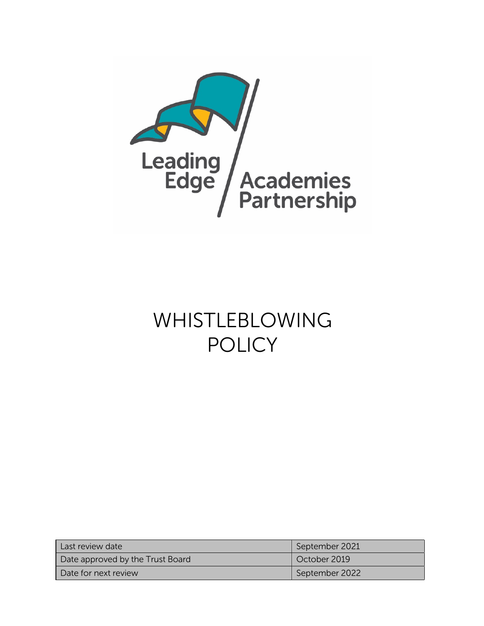

# WHISTLEBLOWING POLICY

| Last review date                 | September 2021 |
|----------------------------------|----------------|
| Date approved by the Trust Board | October 2019   |
| Date for next review             | September 2022 |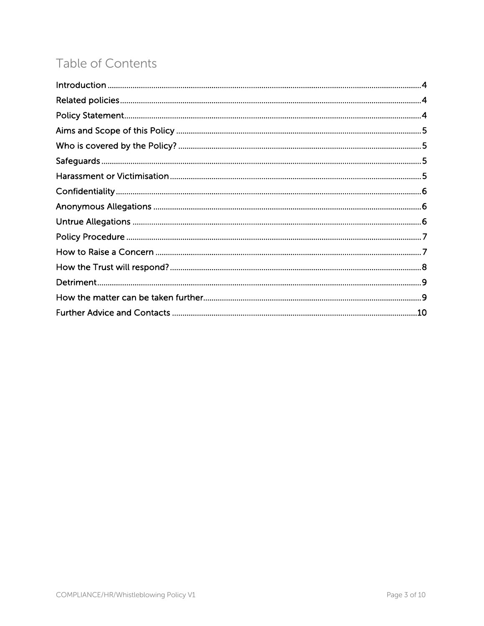## Table of Contents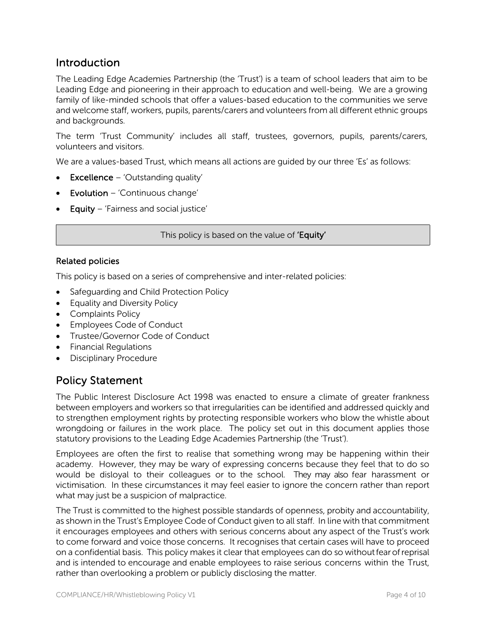## Introduction

The Leading Edge Academies Partnership (the 'Trust') is a team of school leaders that aim to be Leading Edge and pioneering in their approach to education and well-being. We are a growing family of like-minded schools that offer a values-based education to the communities we serve and welcome staff, workers, pupils, parents/carers and volunteers from all different ethnic groups and backgrounds.

The term 'Trust Community' includes all staff, trustees, governors, pupils, parents/carers, volunteers and visitors.

We are a values-based Trust, which means all actions are guided by our three 'Es' as follows:

- Excellence 'Outstanding quality'
- Evolution 'Continuous change'
- Equity 'Fairness and social justice'

This policy is based on the value of 'Equity'

#### Related policies

This policy is based on a series of comprehensive and inter-related policies:

- Safeguarding and Child Protection Policy
- Equality and Diversity Policy
- Complaints Policy
- Employees Code of Conduct
- Trustee/Governor Code of Conduct
- Financial Regulations
- Disciplinary Procedure

## Policy Statement

The Public Interest Disclosure Act 1998 was enacted to ensure a climate of greater frankness between employers and workers so that irregularities can be identified and addressed quickly and to strengthen employment rights by protecting responsible workers who blow the whistle about wrongdoing or failures in the work place. The policy set out in this document applies those statutory provisions to the Leading Edge Academies Partnership (the 'Trust').

Employees are often the first to realise that something wrong may be happening within their academy. However, they may be wary of expressing concerns because they feel that to do so would be disloyal to their colleagues or to the school. They may also fear harassment or victimisation. In these circumstances it may feel easier to ignore the concern rather than report what may just be a suspicion of malpractice.

The Trust is committed to the highest possible standards of openness, probity and accountability, as shown in the Trust's Employee Code of Conduct given to all staff. In line with that commitment it encourages employees and others with serious concerns about any aspect of the Trust's work to come forward and voice those concerns. It recognises that certain cases will have to proceed on a confidential basis. This policy makes it clear that employees can do so withoutfearofreprisal and is intended to encourage and enable employees to raise serious concerns within the Trust, rather than overlooking a problem or publicly disclosing the matter.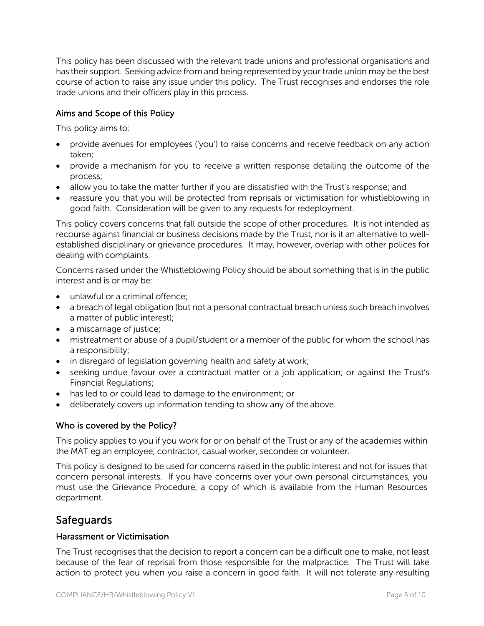This policy has been discussed with the relevant trade unions and professional organisations and has their support. Seeking advice from and being represented by your trade union may be the best course of action to raise any issue under this policy. The Trust recognises and endorses the role trade unions and their officers play in this process.

#### Aims and Scope of this Policy

This policy aims to:

- provide avenues for employees ('you') to raise concerns and receive feedback on any action taken;
- provide a mechanism for you to receive a written response detailing the outcome of the process;
- allow you to take the matter further if you are dissatisfied with the Trust's response; and
- reassure you that you will be protected from reprisals or victimisation for whistleblowing in good faith. Consideration will be given to any requests for redeployment.

This policy covers concerns that fall outside the scope of other procedures. It is not intended as recourse against financial or business decisions made by the Trust, nor is it an alternative to wellestablished disciplinary or grievance procedures. It may, however, overlap with other polices for dealing with complaints.

Concerns raised under the Whistleblowing Policy should be about something that is in the public interest and is or may be:

- unlawful or a criminal offence;
- a breach of legal obligation (but not a personal contractual breach unless such breach involves a matter of public interest);
- a miscarriage of justice;
- mistreatment or abuse of a pupil/student or a member of the public for whom the school has a responsibility;
- in disregard of legislation governing health and safety at work;
- seeking undue favour over a contractual matter or a job application; or against the Trust's Financial Regulations;
- has led to or could lead to damage to the environment; or
- deliberately covers up information tending to show any of the above.

#### Who is covered by the Policy?

This policy applies to you if you work for or on behalf of the Trust or any of the academies within the MAT eg an employee, contractor, casual worker, secondee or volunteer.

This policy is designed to be used for concerns raised in the public interest and not for issues that concern personal interests. If you have concerns over your own personal circumstances, you must use the Grievance Procedure, a copy of which is available from the Human Resources department.

## **Safeguards**

#### Harassment or Victimisation

The Trust recognises that the decision to report a concern can be a difficult one to make, not least because of the fear of reprisal from those responsible for the malpractice. The Trust will take action to protect you when you raise a concern in good faith. It will not tolerate any resulting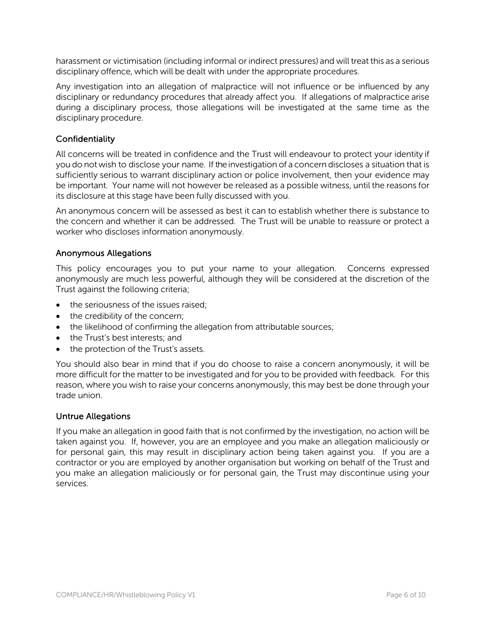harassment or victimisation (including informal or indirect pressures) and will treat this as a serious disciplinary offence, which will be dealt with under the appropriate procedures.

Any investigation into an allegation of malpractice will not influence or be influenced by any disciplinary or redundancy procedures that already affect you. If allegations of malpractice arise during a disciplinary process, those allegations will be investigated at the same time as the disciplinary procedure.

#### **Confidentiality**

All concerns will be treated in confidence and the Trust will endeavour to protect your identity if you do not wish to disclose your name. If the investigation of a concern discloses a situation that is sufficiently serious to warrant disciplinary action or police involvement, then your evidence may be important. Your name will not however be released as a possible witness, until the reasons for its disclosure at this stage have been fully discussed with you.

An anonymous concern will be assessed as best it can to establish whether there is substance to the concern and whether it can be addressed. The Trust will be unable to reassure or protect a worker who discloses information anonymously.

#### Anonymous Allegations

This policy encourages you to put your name to your allegation. Concerns expressed anonymously are much less powerful, although they will be considered at the discretion of the Trust against the following criteria;

- the seriousness of the issues raised;
- the credibility of the concern;
- the likelihood of confirming the allegation from attributable sources;
- the Trust's best interests; and
- the protection of the Trust's assets.

You should also bear in mind that if you do choose to raise a concern anonymously, it will be more difficult for the matter to be investigated and for you to be provided with feedback. For this reason, where you wish to raise your concerns anonymously, this may best be done through your trade union.

#### Untrue Allegations

If you make an allegation in good faith that is not confirmed by the investigation, no action will be taken against you. If, however, you are an employee and you make an allegation maliciously or for personal gain, this may result in disciplinary action being taken against you. If you are a contractor or you are employed by another organisation but working on behalf of the Trust and you make an allegation maliciously or for personal gain, the Trust may discontinue using your services.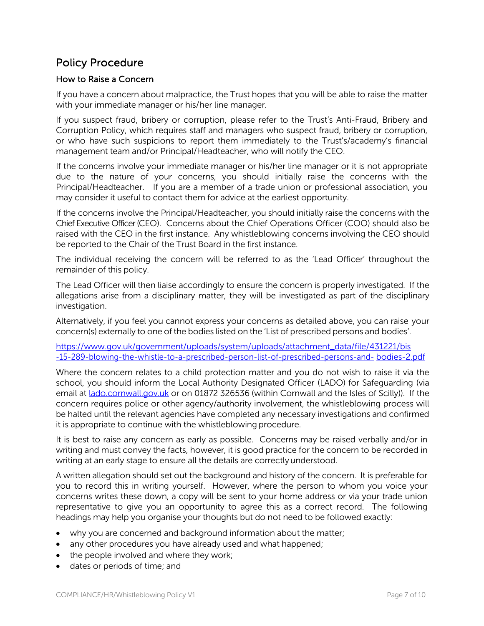## Policy Procedure

#### How to Raise a Concern

If you have a concern about malpractice, the Trust hopes that you will be able to raise the matter with your immediate manager or his/her line manager.

If you suspect fraud, bribery or corruption, please refer to the Trust's Anti-Fraud, Bribery and Corruption Policy, which requires staff and managers who suspect fraud, bribery or corruption, or who have such suspicions to report them immediately to the Trust's/academy's financial management team and/or Principal/Headteacher, who will notify the CEO.

If the concerns involve your immediate manager or his/her line manager or it is not appropriate due to the nature of your concerns, you should initially raise the concerns with the Principal/Headteacher. If you are a member of a trade union or professional association, you may consider it useful to contact them for advice at the earliest opportunity.

If the concerns involve the Principal/Headteacher, you should initially raise the concerns with the Chief Executive Officer (CEO). Concerns about the Chief Operations Officer (COO) should also be raised with the CEO in the first instance. Any whistleblowing concerns involving the CEO should be reported to the Chair of the Trust Board in the first instance.

The individual receiving the concern will be referred to as the 'Lead Officer' throughout the remainder of this policy.

The Lead Officer will then liaise accordingly to ensure the concern is properly investigated. If the allegations arise from a disciplinary matter, they will be investigated as part of the disciplinary investigation.

Alternatively, if you feel you cannot express your concerns as detailed above, you can raise your concern(s) externally to one of the bodies listed on the 'List of prescribed persons and bodies'.

https://www.gov.uk/government/uploads/system/uploads/attachment\_data/file/431221/bis -15-289-blowing-the-whistle-to-a-prescribed-person-list-of-prescribed-persons-and- bodies-2.pdf

Where the concern relates to a child protection matter and you do not wish to raise it via the school, you should inform the Local Authority Designated Officer (LADO) for Safeguarding (via email at lado.cornwall.gov.uk or on 01872 326536 (within Cornwall and the Isles of Scilly)). If the concern requires police or other agency/authority involvement, the whistleblowing process will be halted until the relevant agencies have completed any necessary investigations and confirmed it is appropriate to continue with the whistleblowing procedure.

It is best to raise any concern as early as possible. Concerns may be raised verbally and/or in writing and must convey the facts, however, it is good practice for the concern to be recorded in writing at an early stage to ensure all the details are correctly understood.

A written allegation should set out the background and history of the concern. It is preferable for you to record this in writing yourself. However, where the person to whom you voice your concerns writes these down, a copy will be sent to your home address or via your trade union representative to give you an opportunity to agree this as a correct record. The following headings may help you organise your thoughts but do not need to be followed exactly:

- why you are concerned and background information about the matter;
- any other procedures you have already used and what happened;
- the people involved and where they work;
- dates or periods of time; and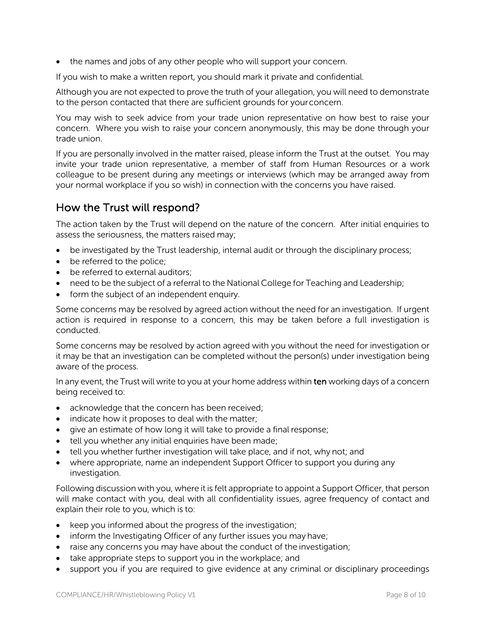• the names and jobs of any other people who will support your concern.

If you wish to make a written report, you should mark it private and confidential.

Although you are not expected to prove the truth of your allegation, you will need to demonstrate to the person contacted that there are sufficient grounds for yourconcern.

You may wish to seek advice from your trade union representative on how best to raise your concern. Where you wish to raise your concern anonymously, this may be done through your trade union.

If you are personally involved in the matter raised, please inform the Trust at the outset. You may invite your trade union representative, a member of staff from Human Resources or a work colleague to be present during any meetings or interviews (which may be arranged away from your normal workplace if you so wish) in connection with the concerns you have raised.

## How the Trust will respond?

The action taken by the Trust will depend on the nature of the concern. After initial enquiries to assess the seriousness, the matters raised may;

- be investigated by the Trust leadership, internal audit or through the disciplinary process;
- be referred to the police;
- be referred to external auditors:
- need to be the subject of a referral to the National College for Teaching and Leadership;
- form the subject of an independent enquiry.

Some concerns may be resolved by agreed action without the need for an investigation. If urgent action is required in response to a concern, this may be taken before a full investigation is conducted.

Some concerns may be resolved by action agreed with you without the need for investigation or it may be that an investigation can be completed without the person(s) under investigation being aware of the process.

In any event, the Trust will write to you at your home address within ten working days of a concern being received to:

- acknowledge that the concern has been received;
- indicate how it proposes to deal with the matter;
- give an estimate of how long it will take to provide a final response;
- tell you whether any initial enquiries have been made;
- tell you whether further investigation will take place, and if not, why not; and
- where appropriate, name an independent Support Officer to support you during any investigation.

Following discussion with you, where it is felt appropriate to appoint a Support Officer, that person will make contact with you, deal with all confidentiality issues, agree frequency of contact and explain their role to you, which is to:

- keep you informed about the progress of the investigation;
- inform the Investigating Officer of any further issues you may have;
- raise any concerns you may have about the conduct of the investigation;
- take appropriate steps to support you in the workplace; and
- support you if you are required to give evidence at any criminal or disciplinary proceedings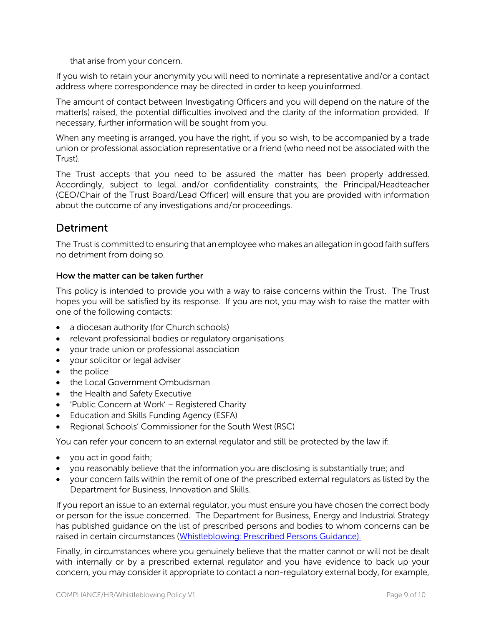that arise from your concern.

If you wish to retain your anonymity you will need to nominate a representative and/or a contact address where correspondence may be directed in order to keep youinformed.

The amount of contact between Investigating Officers and you will depend on the nature of the matter(s) raised, the potential difficulties involved and the clarity of the information provided. If necessary, further information will be sought from you.

When any meeting is arranged, you have the right, if you so wish, to be accompanied by a trade union or professional association representative or a friend (who need not be associated with the Trust).

The Trust accepts that you need to be assured the matter has been properly addressed. Accordingly, subject to legal and/or confidentiality constraints, the Principal/Headteacher (CEO/Chair of the Trust Board/Lead Officer) will ensure that you are provided with information about the outcome of any investigations and/or proceedings.

## Detriment

The Trust is committed to ensuring that an employee who makes an allegation in good faith suffers no detriment from doing so.

#### How the matter can be taken further

This policy is intended to provide you with a way to raise concerns within the Trust. The Trust hopes you will be satisfied by its response. If you are not, you may wish to raise the matter with one of the following contacts:

- a diocesan authority (for Church schools)
- relevant professional bodies or regulatory organisations
- your trade union or professional association
- your solicitor or legal adviser
- the police
- the Local Government Ombudsman
- the Health and Safety Executive
- 'Public Concern at Work' Registered Charity
- Education and Skills Funding Agency (ESFA)
- Regional Schools' Commissioner for the South West (RSC)

You can refer your concern to an external regulator and still be protected by the law if:

- you act in good faith;
- you reasonably believe that the information you are disclosing is substantially true; and
- your concern falls within the remit of one of the prescribed external regulators as listed by the Department for Business, Innovation and Skills.

If you report an issue to an external regulator, you must ensure you have chosen the correct body or person for the issue concerned. The Department for Business, Energy and Industrial Strategy has published guidance on the list of prescribed persons and bodies to whom concerns can be raised in certain circumstances (Whistleblowing: Prescribed Persons Guidance).

Finally, in circumstances where you genuinely believe that the matter cannot or will not be dealt with internally or by a prescribed external regulator and you have evidence to back up your concern, you may consider it appropriate to contact a non-regulatory external body, for example,